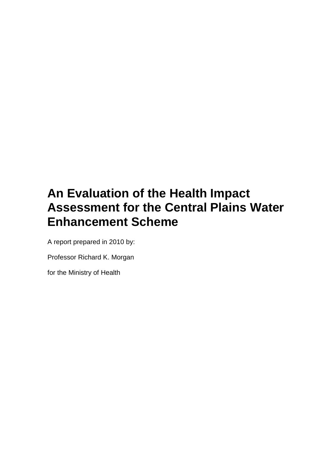# **An Evaluation of the Health Impact Assessment for the Central Plains Water Enhancement Scheme**

A report prepared in 2010 by:

Professor Richard K. Morgan

for the Ministry of Health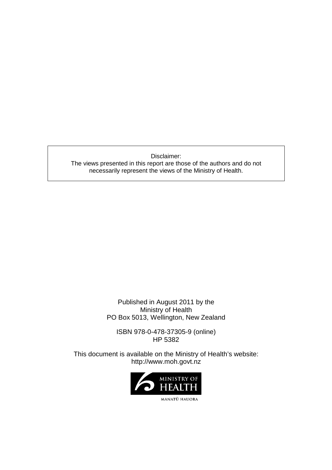Disclaimer: The views presented in this report are those of the authors and do not necessarily represent the views of the Ministry of Health.

> Published in August 2011 by the Ministry of Health PO Box 5013, Wellington, New Zealand

ISBN 978-0-478-37305-9 (online) HP 5382

This document is available on the Ministry of Health's website: http://www.moh.govt.nz

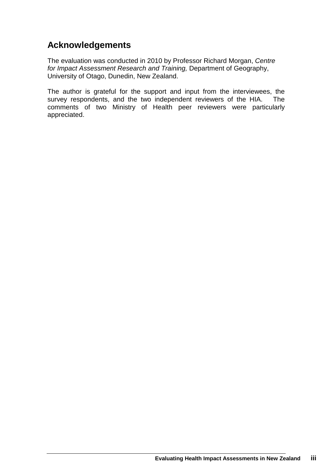# **Acknowledgements**

The evaluation was conducted in 2010 by Professor Richard Morgan, Centre for Impact Assessment Research and Training, Department of Geography, University of Otago, Dunedin, New Zealand.

The author is grateful for the support and input from the interviewees, the survey respondents, and the two independent reviewers of the HIA. The comments of two Ministry of Health peer reviewers were particularly appreciated.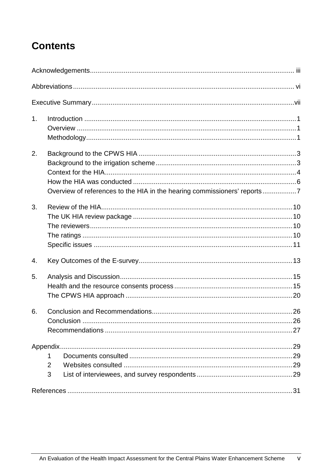# **Contents**

| 1. |                                                                          |  |
|----|--------------------------------------------------------------------------|--|
| 2. | Overview of references to the HIA in the hearing commissioners' reports7 |  |
| 3. |                                                                          |  |
| 4. |                                                                          |  |
| 5. |                                                                          |  |
| 6. |                                                                          |  |
|    |                                                                          |  |
|    | 1                                                                        |  |
|    | $\overline{2}$                                                           |  |
|    | 3                                                                        |  |
|    |                                                                          |  |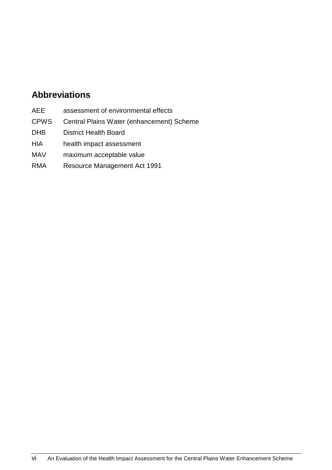# **Abbreviations**

- AEE assessment of environmental effects
- CPWS Central Plains Water (enhancement) Scheme
- DHB District Health Board
- HIA health impact assessment
- MAV maximum acceptable value
- RMA Resource Management Act 1991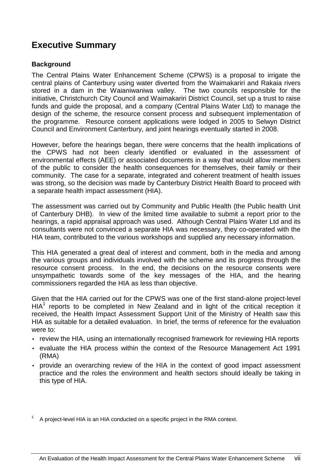# **Executive Summary**

### **Background**

The Central Plains Water Enhancement Scheme (CPWS) is a proposal to irrigate the central plains of Canterbury using water diverted from the Waimakariri and Rakaia rivers stored in a dam in the Waianiwaniwa valley. The two councils responsible for the initiative, Christchurch City Council and Waimakariri District Council, set up a trust to raise funds and guide the proposal, and a company (Central Plains Water Ltd) to manage the design of the scheme, the resource consent process and subsequent implementation of the programme. Resource consent applications were lodged in 2005 to Selwyn District Council and Environment Canterbury, and joint hearings eventually started in 2008.

However, before the hearings began, there were concerns that the health implications of the CPWS had not been clearly identified or evaluated in the assessment of environmental effects (AEE) or associated documents in a way that would allow members of the public to consider the health consequences for themselves, their family or their community. The case for a separate, integrated and coherent treatment of health issues was strong, so the decision was made by Canterbury District Health Board to proceed with a separate health impact assessment (HIA).

The assessment was carried out by Community and Public Health (the Public health Unit of Canterbury DHB). In view of the limited time available to submit a report prior to the hearings, a rapid appraisal approach was used. Although Central Plains Water Ltd and its consultants were not convinced a separate HIA was necessary, they co-operated with the HIA team, contributed to the various workshops and supplied any necessary information.

This HIA generated a great deal of interest and comment, both in the media and among the various groups and individuals involved with the scheme and its progress through the resource consent process. In the end, the decisions on the resource consents were unsympathetic towards some of the key messages of the HIA, and the hearing commissioners regarded the HIA as less than objective.

Given that the HIA carried out for the CPWS was one of the first stand-alone project-level  $HIA<sup>1</sup>$  reports to be completed in New Zealand and in light of the critical reception it received, the Health Impact Assessment Support Unit of the Ministry of Health saw this HIA as suitable for a detailed evaluation. In brief, the terms of reference for the evaluation were to:

- review the HIA, using an internationally recognised framework for reviewing HIA reports
- evaluate the HIA process within the context of the Resource Management Act 1991 (RMA)
- provide an overarching review of the HIA in the context of good impact assessment practice and the roles the environment and health sectors should ideally be taking in this type of HIA.

<sup>1</sup> A project-level HIA is an HIA conducted on a specific project in the RMA context.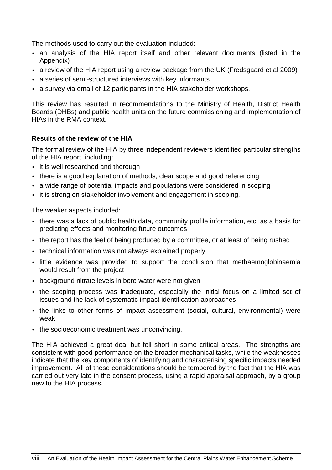The methods used to carry out the evaluation included:

- an analysis of the HIA report itself and other relevant documents (listed in the Appendix)
- a review of the HIA report using a review package from the UK (Fredsgaard et al 2009)
- a series of semi-structured interviews with key informants
- a survey via email of 12 participants in the HIA stakeholder workshops.

This review has resulted in recommendations to the Ministry of Health, District Health Boards (DHBs) and public health units on the future commissioning and implementation of HIAs in the RMA context.

### **Results of the review of the HIA**

The formal review of the HIA by three independent reviewers identified particular strengths of the HIA report, including:

- it is well researched and thorough
- there is a good explanation of methods, clear scope and good referencing
- a wide range of potential impacts and populations were considered in scoping
- it is strong on stakeholder involvement and engagement in scoping.

The weaker aspects included:

- there was a lack of public health data, community profile information, etc, as a basis for predicting effects and monitoring future outcomes
- the report has the feel of being produced by a committee, or at least of being rushed
- technical information was not always explained properly
- little evidence was provided to support the conclusion that methaemoglobinaemia would result from the project
- background nitrate levels in bore water were not given
- the scoping process was inadequate, especially the initial focus on a limited set of issues and the lack of systematic impact identification approaches
- the links to other forms of impact assessment (social, cultural, environmental) were weak
- the socioeconomic treatment was unconvincing.

The HIA achieved a great deal but fell short in some critical areas. The strengths are consistent with good performance on the broader mechanical tasks, while the weaknesses indicate that the key components of identifying and characterising specific impacts needed improvement. All of these considerations should be tempered by the fact that the HIA was carried out very late in the consent process, using a rapid appraisal approach, by a group new to the HIA process.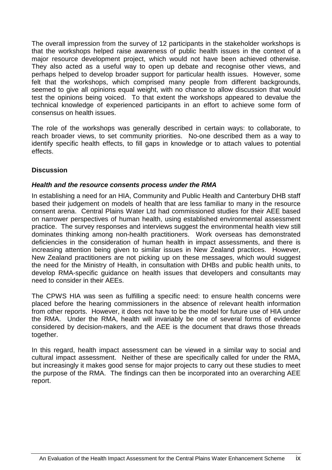The overall impression from the survey of 12 participants in the stakeholder workshops is that the workshops helped raise awareness of public health issues in the context of a major resource development project, which would not have been achieved otherwise. They also acted as a useful way to open up debate and recognise other views, and perhaps helped to develop broader support for particular health issues. However, some felt that the workshops, which comprised many people from different backgrounds, seemed to give all opinions equal weight, with no chance to allow discussion that would test the opinions being voiced. To that extent the workshops appeared to devalue the technical knowledge of experienced participants in an effort to achieve some form of consensus on health issues.

The role of the workshops was generally described in certain ways: to collaborate, to reach broader views, to set community priorities. No-one described them as a way to identify specific health effects, to fill gaps in knowledge or to attach values to potential effects.

### **Discussion**

### **Health and the resource consents process under the RMA**

In establishing a need for an HIA, Community and Public Health and Canterbury DHB staff based their judgement on models of health that are less familiar to many in the resource consent arena. Central Plains Water Ltd had commissioned studies for their AEE based on narrower perspectives of human health, using established environmental assessment practice. The survey responses and interviews suggest the environmental health view still dominates thinking among non-health practitioners. Work overseas has demonstrated deficiencies in the consideration of human health in impact assessments, and there is increasing attention being given to similar issues in New Zealand practices. However, New Zealand practitioners are not picking up on these messages, which would suggest the need for the Ministry of Health, in consultation with DHBs and public health units, to develop RMA-specific guidance on health issues that developers and consultants may need to consider in their AEEs.

The CPWS HIA was seen as fulfilling a specific need: to ensure health concerns were placed before the hearing commissioners in the absence of relevant health information from other reports. However, it does not have to be the model for future use of HIA under the RMA. Under the RMA, health will invariably be one of several forms of evidence considered by decision-makers, and the AEE is the document that draws those threads together.

In this regard, health impact assessment can be viewed in a similar way to social and cultural impact assessment. Neither of these are specifically called for under the RMA, but increasingly it makes good sense for major projects to carry out these studies to meet the purpose of the RMA. The findings can then be incorporated into an overarching AEE report.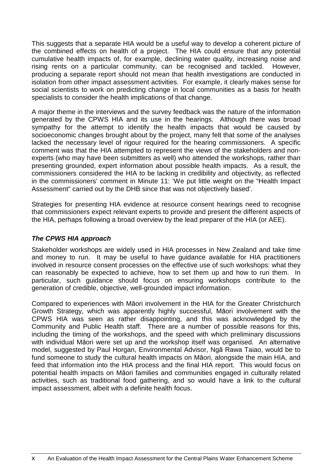This suggests that a separate HIA would be a useful way to develop a coherent picture of the combined effects on health of a project. The HIA could ensure that any potential cumulative health impacts of, for example, declining water quality, increasing noise and rising rents on a particular community, can be recognised and tackled. However, producing a separate report should not mean that health investigations are conducted in isolation from other impact assessment activities. For example, it clearly makes sense for social scientists to work on predicting change in local communities as a basis for health specialists to consider the health implications of that change.

A major theme in the interviews and the survey feedback was the nature of the information generated by the CPWS HIA and its use in the hearings. Although there was broad sympathy for the attempt to identify the health impacts that would be caused by socioeconomic changes brought about by the project, many felt that some of the analyses lacked the necessary level of rigour required for the hearing commissioners. A specific comment was that the HIA attempted to represent the views of the stakeholders and nonexperts (who may have been submitters as well) who attended the workshops, rather than presenting grounded, expert information about possible health impacts. As a result, the commissioners considered the HIA to be lacking in credibility and objectivity, as reflected in the commissioners' comment in Minute 11: 'We put little weight on the "Health Impact Assessment" carried out by the DHB since that was not objectively based'.

Strategies for presenting HIA evidence at resource consent hearings need to recognise that commissioners expect relevant experts to provide and present the different aspects of the HIA, perhaps following a broad overview by the lead preparer of the HIA (or AEE).

### **The CPWS HIA approach**

Stakeholder workshops are widely used in HIA processes in New Zealand and take time and money to run. It may be useful to have guidance available for HIA practitioners involved in resource consent processes on the effective use of such workshops: what they can reasonably be expected to achieve, how to set them up and how to run them. In particular, such guidance should focus on ensuring workshops contribute to the generation of credible, objective, well-grounded impact information.

Compared to experiences with Māori involvement in the HIA for the Greater Christchurch Growth Strategy, which was apparently highly successful, Māori involvement with the CPWS HIA was seen as rather disappointing, and this was acknowledged by the Community and Public Health staff. There are a number of possible reasons for this, including the timing of the workshops, and the speed with which preliminary discussions with individual Māori were set up and the workshop itself was organised. An alternative model, suggested by Paul Horgan, Environmental Advisor, Ngā Rawa Taiao, would be to fund someone to study the cultural health impacts on Māori, alongside the main HIA, and feed that information into the HIA process and the final HIA report. This would focus on potential health impacts on Māori families and communities engaged in culturally related activities, such as traditional food gathering, and so would have a link to the cultural impact assessment, albeit with a definite health focus.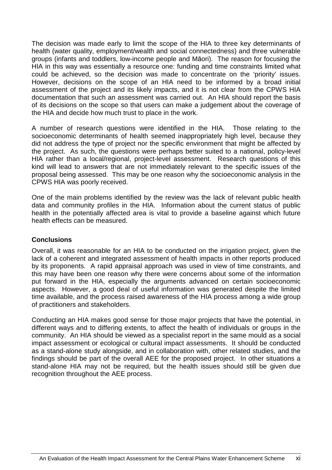The decision was made early to limit the scope of the HIA to three key determinants of health (water quality, employment/wealth and social connectedness) and three vulnerable groups (infants and toddlers, low-income people and Māori). The reason for focusing the HIA in this way was essentially a resource one: funding and time constraints limited what could be achieved, so the decision was made to concentrate on the 'priority' issues. However, decisions on the scope of an HIA need to be informed by a broad initial assessment of the project and its likely impacts, and it is not clear from the CPWS HIA documentation that such an assessment was carried out. An HIA should report the basis of its decisions on the scope so that users can make a judgement about the coverage of the HIA and decide how much trust to place in the work.

A number of research questions were identified in the HIA. Those relating to the socioeconomic determinants of health seemed inappropriately high level, because they did not address the type of project nor the specific environment that might be affected by the project. As such, the questions were perhaps better suited to a national, policy-level HIA rather than a local/regional, project-level assessment. Research questions of this kind will lead to answers that are not immediately relevant to the specific issues of the proposal being assessed. This may be one reason why the socioeconomic analysis in the CPWS HIA was poorly received.

One of the main problems identified by the review was the lack of relevant public health data and community profiles in the HIA. Information about the current status of public health in the potentially affected area is vital to provide a baseline against which future health effects can be measured.

#### **Conclusions**

Overall, it was reasonable for an HIA to be conducted on the irrigation project, given the lack of a coherent and integrated assessment of health impacts in other reports produced by its proponents. A rapid appraisal approach was used in view of time constraints, and this may have been one reason why there were concerns about some of the information put forward in the HIA, especially the arguments advanced on certain socioeconomic aspects. However, a good deal of useful information was generated despite the limited time available, and the process raised awareness of the HIA process among a wide group of practitioners and stakeholders.

Conducting an HIA makes good sense for those major projects that have the potential, in different ways and to differing extents, to affect the health of individuals or groups in the community. An HIA should be viewed as a specialist report in the same mould as a social impact assessment or ecological or cultural impact assessments. It should be conducted as a stand-alone study alongside, and in collaboration with, other related studies, and the findings should be part of the overall AEE for the proposed project. In other situations a stand-alone HIA may not be required, but the health issues should still be given due recognition throughout the AEE process.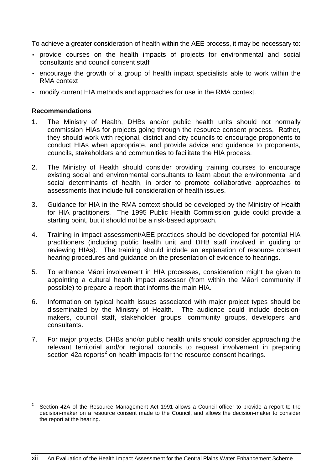To achieve a greater consideration of health within the AEE process, it may be necessary to:

- provide courses on the health impacts of projects for environmental and social consultants and council consent staff
- encourage the growth of a group of health impact specialists able to work within the RMA context
- modify current HIA methods and approaches for use in the RMA context.

#### **Recommendations**

- 1. The Ministry of Health, DHBs and/or public health units should not normally commission HIAs for projects going through the resource consent process. Rather, they should work with regional, district and city councils to encourage proponents to conduct HIAs when appropriate, and provide advice and guidance to proponents, councils, stakeholders and communities to facilitate the HIA process.
- 2. The Ministry of Health should consider providing training courses to encourage existing social and environmental consultants to learn about the environmental and social determinants of health, in order to promote collaborative approaches to assessments that include full consideration of health issues.
- 3. Guidance for HIA in the RMA context should be developed by the Ministry of Health for HIA practitioners. The 1995 Public Health Commission guide could provide a starting point, but it should not be a risk-based approach.
- 4. Training in impact assessment/AEE practices should be developed for potential HIA practitioners (including public health unit and DHB staff involved in guiding or reviewing HIAs). The training should include an explanation of resource consent hearing procedures and guidance on the presentation of evidence to hearings.
- 5. To enhance Māori involvement in HIA processes, consideration might be given to appointing a cultural health impact assessor (from within the Māori community if possible) to prepare a report that informs the main HIA.
- 6. Information on typical health issues associated with major project types should be disseminated by the Ministry of Health. The audience could include decisionmakers, council staff, stakeholder groups, community groups, developers and consultants.
- 7. For major projects, DHBs and/or public health units should consider approaching the relevant territorial and/or regional councils to request involvement in preparing section 42a reports<sup>2</sup> on health impacts for the resource consent hearings.

<sup>2</sup> Section 42A of the Resource Management Act 1991 allows a Council officer to provide a report to the decision-maker on a resource consent made to the Council, and allows the decision-maker to consider the report at the hearing.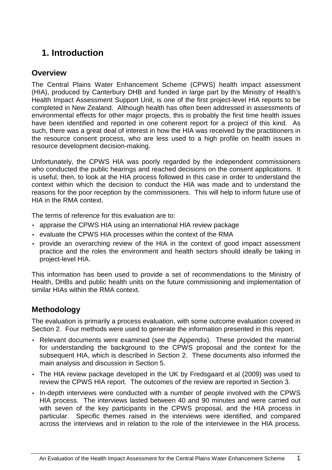# **1. Introduction**

### **Overview**

The Central Plains Water Enhancement Scheme (CPWS) health impact assessment (HIA), produced by Canterbury DHB and funded in large part by the Ministry of Health's Health Impact Assessment Support Unit, is one of the first project-level HIA reports to be completed in New Zealand. Although health has often been addressed in assessments of environmental effects for other major projects, this is probably the first time health issues have been identified and reported in one coherent report for a project of this kind. As such, there was a great deal of interest in how the HIA was received by the practitioners in the resource consent process, who are less used to a high profile on health issues in resource development decision-making.

Unfortunately, the CPWS HIA was poorly regarded by the independent commissioners who conducted the public hearings and reached decisions on the consent applications. It is useful, then, to look at the HIA process followed in this case in order to understand the context within which the decision to conduct the HIA was made and to understand the reasons for the poor reception by the commissioners. This will help to inform future use of HIA in the RMA context.

The terms of reference for this evaluation are to:

- appraise the CPWS HIA using an international HIA review package
- evaluate the CPWS HIA processes within the context of the RMA
- provide an overarching review of the HIA in the context of good impact assessment practice and the roles the environment and health sectors should ideally be taking in project-level HIA.

This information has been used to provide a set of recommendations to the Ministry of Health, DHBs and public health units on the future commissioning and implementation of similar HIAs within the RMA context.

## **Methodology**

The evaluation is primarily a process evaluation, with some outcome evaluation covered in Section 2. Four methods were used to generate the information presented in this report.

- Relevant documents were examined (see the Appendix). These provided the material for understanding the background to the CPWS proposal and the context for the subsequent HIA, which is described in Section 2. These documents also informed the main analysis and discussion in Section 5.
- The HIA review package developed in the UK by Fredsgaard et al (2009) was used to review the CPWS HIA report. The outcomes of the review are reported in Section 3.
- In-depth interviews were conducted with a number of people involved with the CPWS HIA process. The interviews lasted between 40 and 90 minutes and were carried out with seven of the key participants in the CPWS proposal, and the HIA process in particular. Specific themes raised in the interviews were identified, and compared across the interviews and in relation to the role of the interviewee in the HIA process.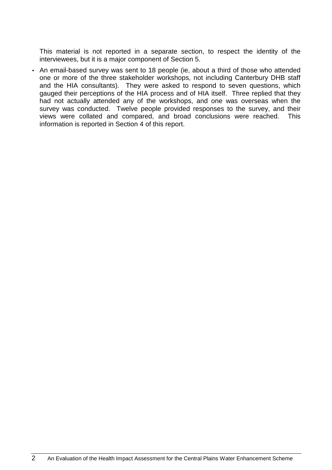This material is not reported in a separate section, to respect the identity of the interviewees, but it is a major component of Section 5.

• An email-based survey was sent to 18 people (ie, about a third of those who attended one or more of the three stakeholder workshops, not including Canterbury DHB staff and the HIA consultants). They were asked to respond to seven questions, which gauged their perceptions of the HIA process and of HIA itself. Three replied that they had not actually attended any of the workshops, and one was overseas when the survey was conducted. Twelve people provided responses to the survey, and their views were collated and compared, and broad conclusions were reached. This information is reported in Section 4 of this report.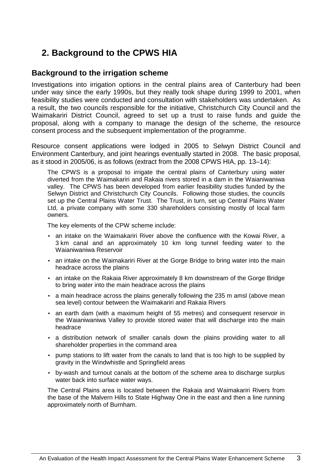# **2. Background to the CPWS HIA**

### **Background to the irrigation scheme**

Investigations into irrigation options in the central plains area of Canterbury had been under way since the early 1990s, but they really took shape during 1999 to 2001, when feasibility studies were conducted and consultation with stakeholders was undertaken. As a result, the two councils responsible for the initiative, Christchurch City Council and the Waimakariri District Council, agreed to set up a trust to raise funds and guide the proposal, along with a company to manage the design of the scheme, the resource consent process and the subsequent implementation of the programme.

Resource consent applications were lodged in 2005 to Selwyn District Council and Environment Canterbury, and joint hearings eventually started in 2008. The basic proposal, as it stood in 2005/06, is as follows (extract from the 2008 CPWS HIA, pp. 13–14):

The CPWS is a proposal to irrigate the central plains of Canterbury using water diverted from the Waimakariri and Rakaia rivers stored in a dam in the Waianiwaniwa valley. The CPWS has been developed from earlier feasibility studies funded by the Selwyn District and Christchurch City Councils. Following those studies, the councils set up the Central Plains Water Trust. The Trust, in turn, set up Central Plains Water Ltd, a private company with some 330 shareholders consisting mostly of local farm owners.

The key elements of the CPW scheme include:

- an intake on the Waimakariri River above the confluence with the Kowai River, a 3 km canal and an approximately 10 km long tunnel feeding water to the Waianiwaniwa Reservoir
- an intake on the Waimakariri River at the Gorge Bridge to bring water into the main headrace across the plains
- an intake on the Rakaia River approximately 8 km downstream of the Gorge Bridge to bring water into the main headrace across the plains
- a main headrace across the plains generally following the 235 m amsl (above mean sea level) contour between the Waimakariri and Rakaia Rivers
- an earth dam (with a maximum height of 55 metres) and consequent reservoir in the Waianiwaniwa Valley to provide stored water that will discharge into the main headrace
- a distribution network of smaller canals down the plains providing water to all shareholder properties in the command area
- pump stations to lift water from the canals to land that is too high to be supplied by gravity in the Windwhistle and Springfield areas
- by-wash and turnout canals at the bottom of the scheme area to discharge surplus water back into surface water ways.

The Central Plains area is located between the Rakaia and Waimakariri Rivers from the base of the Malvern Hills to State Highway One in the east and then a line running approximately north of Burnham.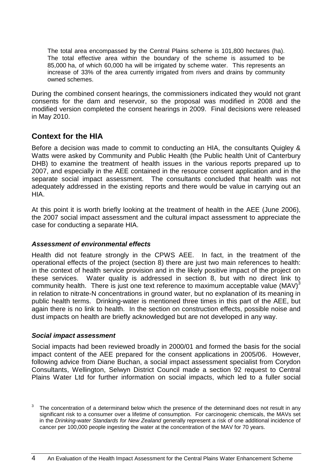The total area encompassed by the Central Plains scheme is 101,800 hectares (ha). The total effective area within the boundary of the scheme is assumed to be 85,000 ha, of which 60,000 ha will be irrigated by scheme water. This represents an increase of 33% of the area currently irrigated from rivers and drains by community owned schemes.

During the combined consent hearings, the commissioners indicated they would not grant consents for the dam and reservoir, so the proposal was modified in 2008 and the modified version completed the consent hearings in 2009. Final decisions were released in May 2010.

## **Context for the HIA**

Before a decision was made to commit to conducting an HIA, the consultants Quigley & Watts were asked by Community and Public Health (the Public health Unit of Canterbury DHB) to examine the treatment of health issues in the various reports prepared up to 2007, and especially in the AEE contained in the resource consent application and in the separate social impact assessment. The consultants concluded that health was not adequately addressed in the existing reports and there would be value in carrying out an HIA.

At this point it is worth briefly looking at the treatment of health in the AEE (June 2006), the 2007 social impact assessment and the cultural impact assessment to appreciate the case for conducting a separate HIA.

### **Assessment of environmental effects**

Health did not feature strongly in the CPWS AEE. In fact, in the treatment of the operational effects of the project (section 8) there are just two main references to health: in the context of health service provision and in the likely positive impact of the project on these services. Water quality is addressed in section 8, but with no direct link to community health. There is just one text reference to maximum acceptable value (MAV) $3$ in relation to nitrate-N concentrations in ground water, but no explanation of its meaning in public health terms. Drinking-water is mentioned three times in this part of the AEE, but again there is no link to health. In the section on construction effects, possible noise and dust impacts on health are briefly acknowledged but are not developed in any way.

### **Social impact assessment**

Social impacts had been reviewed broadly in 2000/01 and formed the basis for the social impact content of the AEE prepared for the consent applications in 2005/06. However, following advice from Diane Buchan, a social impact assessment specialist from Corydon Consultants, Wellington, Selwyn District Council made a section 92 request to Central Plains Water Ltd for further information on social impacts, which led to a fuller social

<sup>3</sup> The concentration of a determinand below which the presence of the determinand does not result in any significant risk to a consumer over a lifetime of consumption. For carcinogenic chemicals, the MAVs set in the Drinking-water Standards for New Zealand generally represent a risk of one additional incidence of cancer per 100,000 people ingesting the water at the concentration of the MAV for 70 years.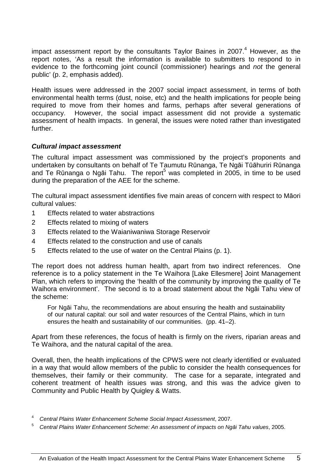impact assessment report by the consultants Taylor Baines in 2007. $4$  However, as the report notes, 'As a result the information is available to submitters to respond to in evidence to the forthcoming joint council (commissioner) hearings and not the general public' (p. 2, emphasis added).

Health issues were addressed in the 2007 social impact assessment, in terms of both environmental health terms (dust, noise, etc) and the health implications for people being required to move from their homes and farms, perhaps after several generations of occupancy. However, the social impact assessment did not provide a systematic assessment of health impacts. In general, the issues were noted rather than investigated further.

### **Cultural impact assessment**

The cultural impact assessment was commissioned by the project's proponents and undertaken by consultants on behalf of Te Taumutu Rūnanga, Te Ngāi Tūāhuriri Rūnanga and Te Rūnanga o Ngāi Tahu. The report<sup>5</sup> was completed in 2005, in time to be used during the preparation of the AEE for the scheme.

The cultural impact assessment identifies five main areas of concern with respect to Māori cultural values:

- 1 Effects related to water abstractions
- 2 Effects related to mixing of waters
- 3 Effects related to the Waianiwaniwa Storage Reservoir
- 4 Effects related to the construction and use of canals
- 5 Effects related to the use of water on the Central Plains (p. 1).

The report does not address human health, apart from two indirect references. One reference is to a policy statement in the Te Waihora [Lake Ellesmere] Joint Management Plan, which refers to improving the 'health of the community by improving the quality of Te Waihora environment'. The second is to a broad statement about the Ngāi Tahu view of the scheme:

For Ngāi Tahu, the recommendations are about ensuring the health and sustainability of our natural capital: our soil and water resources of the Central Plains, which in turn ensures the health and sustainability of our communities. (pp. 41–2).

Apart from these references, the focus of health is firmly on the rivers, riparian areas and Te Waihora, and the natural capital of the area.

Overall, then, the health implications of the CPWS were not clearly identified or evaluated in a way that would allow members of the public to consider the health consequences for themselves, their family or their community. The case for a separate, integrated and coherent treatment of health issues was strong, and this was the advice given to Community and Public Health by Quigley & Watts.

<sup>4</sup> Central Plains Water Enhancement Scheme Social Impact Assessment, 2007.

<sup>5</sup> Central Plains Water Enhancement Scheme: An assessment of impacts on Ng*ā*i Tahu values, 2005.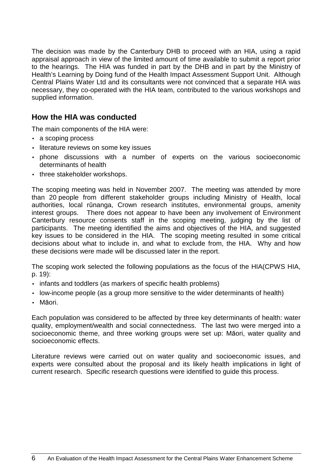The decision was made by the Canterbury DHB to proceed with an HIA, using a rapid appraisal approach in view of the limited amount of time available to submit a report prior to the hearings. The HIA was funded in part by the DHB and in part by the Ministry of Health's Learning by Doing fund of the Health Impact Assessment Support Unit. Although Central Plains Water Ltd and its consultants were not convinced that a separate HIA was necessary, they co-operated with the HIA team, contributed to the various workshops and supplied information.

### **How the HIA was conducted**

The main components of the HIA were:

- a scoping process
- literature reviews on some key issues
- phone discussions with a number of experts on the various socioeconomic determinants of health
- three stakeholder workshops.

The scoping meeting was held in November 2007. The meeting was attended by more than 20 people from different stakeholder groups including Ministry of Health, local authorities, local rūnanga, Crown research institutes, environmental groups, amenity interest groups. There does not appear to have been any involvement of Environment Canterbury resource consents staff in the scoping meeting, judging by the list of participants. The meeting identified the aims and objectives of the HIA, and suggested key issues to be considered in the HIA. The scoping meeting resulted in some critical decisions about what to include in, and what to exclude from, the HIA. Why and how these decisions were made will be discussed later in the report.

The scoping work selected the following populations as the focus of the HIA(CPWS HIA, p. 19):

- infants and toddlers (as markers of specific health problems)
- low-income people (as a group more sensitive to the wider determinants of health)
- Māori.

Each population was considered to be affected by three key determinants of health: water quality, employment/wealth and social connectedness. The last two were merged into a socioeconomic theme, and three working groups were set up: Māori, water quality and socioeconomic effects.

Literature reviews were carried out on water quality and socioeconomic issues, and experts were consulted about the proposal and its likely health implications in light of current research. Specific research questions were identified to guide this process.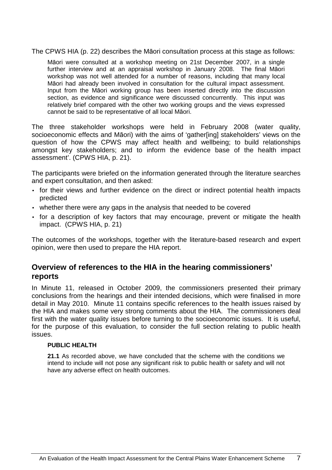The CPWS HIA (p. 22) describes the Māori consultation process at this stage as follows:

Māori were consulted at a workshop meeting on 21st December 2007, in a single further interview and at an appraisal workshop in January 2008. The final Māori workshop was not well attended for a number of reasons, including that many local Māori had already been involved in consultation for the cultural impact assessment. Input from the Māori working group has been inserted directly into the discussion section, as evidence and significance were discussed concurrently. This input was relatively brief compared with the other two working groups and the views expressed cannot be said to be representative of all local Māori.

The three stakeholder workshops were held in February 2008 (water quality, socioeconomic effects and Māori) with the aims of 'gather[ing] stakeholders' views on the question of how the CPWS may affect health and wellbeing; to build relationships amongst key stakeholders; and to inform the evidence base of the health impact assessment'. (CPWS HIA, p. 21).

The participants were briefed on the information generated through the literature searches and expert consultation, and then asked:

- for their views and further evidence on the direct or indirect potential health impacts predicted
- whether there were any gaps in the analysis that needed to be covered
- for a description of key factors that may encourage, prevent or mitigate the health impact. (CPWS HIA, p. 21)

The outcomes of the workshops, together with the literature-based research and expert opinion, were then used to prepare the HIA report.

### **Overview of references to the HIA in the hearing commissioners' reports**

In Minute 11, released in October 2009, the commissioners presented their primary conclusions from the hearings and their intended decisions, which were finalised in more detail in May 2010. Minute 11 contains specific references to the health issues raised by the HIA and makes some very strong comments about the HIA. The commissioners deal first with the water quality issues before turning to the socioeconomic issues. It is useful, for the purpose of this evaluation, to consider the full section relating to public health issues.

#### **PUBLIC HEALTH**

**21.1** As recorded above, we have concluded that the scheme with the conditions we intend to include will not pose any significant risk to public health or safety and will not have any adverse effect on health outcomes.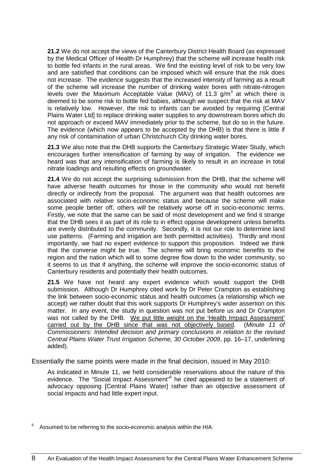**21.2** We do not accept the views of the Canterbury District Health Board (as expressed by the Medical Officer of Health Dr Humphrey) that the scheme will increase health risk to bottle fed infants in the rural areas. We find the existing level of risk to be very low and are satisfied that conditions can be imposed which will ensure that the risk does not increase. The evidence suggests that the increased intensity of farming as a result of the scheme will increase the number of drinking water bores with nitrate-nitrogen levels over the Maximum Acceptable Value (MAV) of 11.3 g/m<sup>3</sup> at which there is deemed to be some risk to bottle fed babies, although we suspect that the risk at MAV is relatively low. However, the risk to infants can be avoided by requiring [Central Plains Water Ltd] to replace drinking water supplies to any downstream bores which do not approach or exceed MAV immediately prior to the scheme, but do so in the future. The evidence (which now appears to be accepted by the DHB) is that there is little if any risk of contamination of urban Christchurch City drinking water bores.

**21.3** We also note that the DHB supports the Canterbury Strategic Water Study, which encourages further intensification of farming by way of irrigation. The evidence we heard was that any intensification of farming is likely to result in an increase in total nitrate loadings and resulting effects on groundwater.

**21.4** We do not accept the surprising submission from the DHB, that the scheme will have adverse health outcomes for those in the community who would not benefit directly or indirectly from the proposal. The argument was that health outcomes are associated with relative socio-economic status and because the scheme will make some people better off, others will be relatively worse off in socio-economic terms. Firstly, we note that the same can be said of most development and we find it strange that the DHB sees it as part of its role to in effect oppose development unless benefits are evenly distributed to the community. Secondly, it is not our role to determine land use patterns. (Farming and irrigation are both permitted activities). Thirdly and most importantly, we had no expert evidence to support this proposition. Indeed we think that the converse might be true. The scheme will bring economic benefits to the region and the nation which will to some degree flow down to the wider community, so it seems to us that if anything, the scheme will improve the socio-economic status of Canterbury residents and potentially their health outcomes.

**21.5** We have not heard any expert evidence which would support the DHB submission. Although Dr Humphrey cited work by Dr Peter Crampton as establishing the link between socio-economic status and health outcomes (a relationship which we accept) we rather doubt that this work supports Dr Humphrey's wider assertion on this matter. In any event, the study in question was not put before us and Dr Crampton was not called by the DHB. We put little weight on the 'Health Impact Assessment' carried out by the DHB since that was not objectively based. (Minute 11 of Commissioners: Intended decision and primary conclusions in relation to the revised Central Plains Water Trust Irrigation Scheme, 30 October 2009, pp. 16–17, underlining added).

Essentially the same points were made in the final decision, issued in May 2010:

As indicated in Minute 11, we held considerable reservations about the nature of this evidence. The "Social Impact Assessment"<sup>6</sup> he cited appeared to be a statement of advocacy opposing [Central Plains Water] rather than an objective assessment of social impacts and had little expert input.

<sup>6</sup> Assumed to be referring to the socio-economic analysis within the HIA.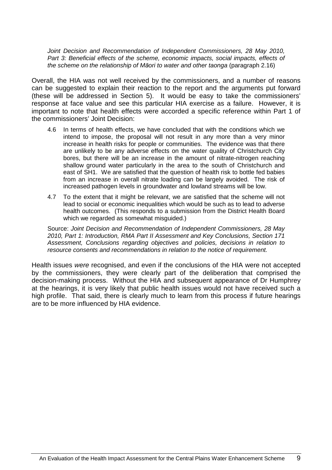Joint Decision and Recommendation of Independent Commissioners, 28 May 2010, Part 3: Beneficial effects of the scheme, economic impacts, social impacts, effects of the scheme on the relationship of M*ā*ori to water and other taonga (paragraph 2.16)

Overall, the HIA was not well received by the commissioners, and a number of reasons can be suggested to explain their reaction to the report and the arguments put forward (these will be addressed in Section 5). It would be easy to take the commissioners' response at face value and see this particular HIA exercise as a failure. However, it is important to note that health effects were accorded a specific reference within Part 1 of the commissioners' Joint Decision:

- 4.6 In terms of health effects, we have concluded that with the conditions which we intend to impose, the proposal will not result in any more than a very minor increase in health risks for people or communities. The evidence was that there are unlikely to be any adverse effects on the water quality of Christchurch City bores, but there will be an increase in the amount of nitrate-nitrogen reaching shallow ground water particularly in the area to the south of Christchurch and east of SH1. We are satisfied that the question of health risk to bottle fed babies from an increase in overall nitrate loading can be largely avoided. The risk of increased pathogen levels in groundwater and lowland streams will be low.
- 4.7 To the extent that it might be relevant, we are satisfied that the scheme will not lead to social or economic inequalities which would be such as to lead to adverse health outcomes. (This responds to a submission from the District Health Board which we regarded as somewhat misguided.)

Source: Joint Decision and Recommendation of Independent Commissioners, 28 May 2010, Part 1: Introduction, RMA Part II Assessment and Key Conclusions, Section 171 Assessment, Conclusions regarding objectives and policies, decisions in relation to resource consents and recommendations in relation to the notice of requirement.

Health issues were recognised, and even if the conclusions of the HIA were not accepted by the commissioners, they were clearly part of the deliberation that comprised the decision-making process. Without the HIA and subsequent appearance of Dr Humphrey at the hearings, it is very likely that public health issues would not have received such a high profile. That said, there is clearly much to learn from this process if future hearings are to be more influenced by HIA evidence.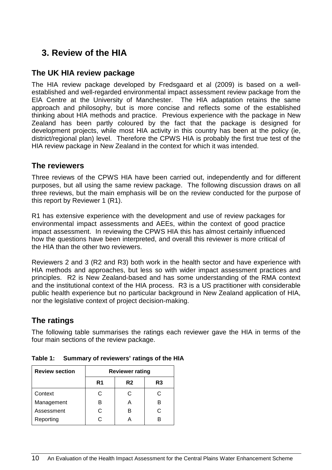# **3. Review of the HIA**

## **The UK HIA review package**

The HIA review package developed by Fredsgaard et al (2009) is based on a wellestablished and well-regarded environmental impact assessment review package from the EIA Centre at the University of Manchester. The HIA adaptation retains the same approach and philosophy, but is more concise and reflects some of the established thinking about HIA methods and practice. Previous experience with the package in New Zealand has been partly coloured by the fact that the package is designed for development projects, while most HIA activity in this country has been at the policy (ie, district/regional plan) level. Therefore the CPWS HIA is probably the first true test of the HIA review package in New Zealand in the context for which it was intended.

### **The reviewers**

Three reviews of the CPWS HIA have been carried out, independently and for different purposes, but all using the same review package. The following discussion draws on all three reviews, but the main emphasis will be on the review conducted for the purpose of this report by Reviewer 1 (R1).

R1 has extensive experience with the development and use of review packages for environmental impact assessments and AEEs, within the context of good practice impact assessment. In reviewing the CPWS HIA this has almost certainly influenced how the questions have been interpreted, and overall this reviewer is more critical of the HIA than the other two reviewers.

Reviewers 2 and 3 (R2 and R3) both work in the health sector and have experience with HIA methods and approaches, but less so with wider impact assessment practices and principles. R2 is New Zealand-based and has some understanding of the RMA context and the institutional context of the HIA process. R3 is a US practitioner with considerable public health experience but no particular background in New Zealand application of HIA, nor the legislative context of project decision-making.

# **The ratings**

The following table summarises the ratings each reviewer gave the HIA in terms of the four main sections of the review package.

| <b>Review section</b> | <b>Reviewer rating</b> |                |    |  |
|-----------------------|------------------------|----------------|----|--|
|                       | R <sub>1</sub>         | R <sub>2</sub> | R3 |  |
| Context               | C.                     |                | C  |  |
| Management            | R                      |                | в  |  |
| Assessment            | C                      | R              | C  |  |
| Reporting             | ◠                      |                | R  |  |

**Table 1: Summary of reviewers' ratings of the HIA**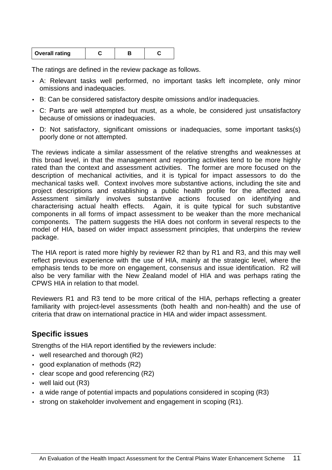| <b>Overall rating</b> |  |  |  |
|-----------------------|--|--|--|
|-----------------------|--|--|--|

The ratings are defined in the review package as follows.

- A: Relevant tasks well performed, no important tasks left incomplete, only minor omissions and inadequacies.
- B: Can be considered satisfactory despite omissions and/or inadequacies.
- C: Parts are well attempted but must, as a whole, be considered just unsatisfactory because of omissions or inadequacies.
- D: Not satisfactory, significant omissions or inadequacies, some important tasks(s) poorly done or not attempted.

The reviews indicate a similar assessment of the relative strengths and weaknesses at this broad level, in that the management and reporting activities tend to be more highly rated than the context and assessment activities. The former are more focused on the description of mechanical activities, and it is typical for impact assessors to do the mechanical tasks well. Context involves more substantive actions, including the site and project descriptions and establishing a public health profile for the affected area. Assessment similarly involves substantive actions focused on identifying and characterising actual health effects. Again, it is quite typical for such substantive components in all forms of impact assessment to be weaker than the more mechanical components. The pattern suggests the HIA does not conform in several respects to the model of HIA, based on wider impact assessment principles, that underpins the review package.

The HIA report is rated more highly by reviewer R2 than by R1 and R3, and this may well reflect previous experience with the use of HIA, mainly at the strategic level, where the emphasis tends to be more on engagement, consensus and issue identification. R2 will also be very familiar with the New Zealand model of HIA and was perhaps rating the CPWS HIA in relation to that model.

Reviewers R1 and R3 tend to be more critical of the HIA, perhaps reflecting a greater familiarity with project-level assessments (both health and non-health) and the use of criteria that draw on international practice in HIA and wider impact assessment.

## **Specific issues**

Strengths of the HIA report identified by the reviewers include:

- well researched and thorough (R2)
- good explanation of methods (R2)
- clear scope and good referencing (R2)
- well laid out (R3)
- a wide range of potential impacts and populations considered in scoping (R3)
- strong on stakeholder involvement and engagement in scoping (R1).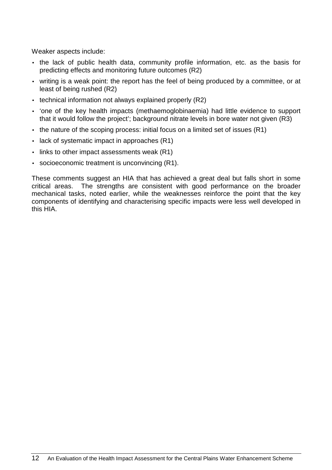Weaker aspects include:

- the lack of public health data, community profile information, etc. as the basis for predicting effects and monitoring future outcomes (R2)
- writing is a weak point: the report has the feel of being produced by a committee, or at least of being rushed (R2)
- technical information not always explained properly (R2)
- 'one of the key health impacts (methaemoglobinaemia) had little evidence to support that it would follow the project'; background nitrate levels in bore water not given (R3)
- the nature of the scoping process: initial focus on a limited set of issues  $(R1)$
- lack of systematic impact in approaches (R1)
- links to other impact assessments weak (R1)
- socioeconomic treatment is unconvincing (R1).

These comments suggest an HIA that has achieved a great deal but falls short in some critical areas. The strengths are consistent with good performance on the broader mechanical tasks, noted earlier, while the weaknesses reinforce the point that the key components of identifying and characterising specific impacts were less well developed in this HIA.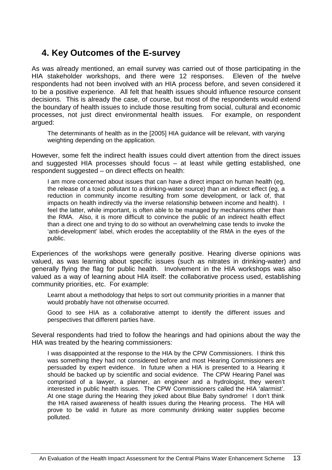# **4. Key Outcomes of the E-survey**

As was already mentioned, an email survey was carried out of those participating in the HIA stakeholder workshops, and there were 12 responses. Eleven of the twelve respondents had not been involved with an HIA process before, and seven considered it to be a positive experience. All felt that health issues should influence resource consent decisions. This is already the case, of course, but most of the respondents would extend the boundary of health issues to include those resulting from social, cultural and economic processes, not just direct environmental health issues. For example, on respondent argued:

The determinants of health as in the [2005] HIA guidance will be relevant, with varying weighting depending on the application.

However, some felt the indirect health issues could divert attention from the direct issues and suggested HIA processes should focus – at least while getting established, one respondent suggested – on direct effects on health:

I am more concerned about issues that can have a direct impact on human health (eg, the release of a toxic pollutant to a drinking-water source) than an indirect effect (eg, a reduction in community income resulting from some development, or lack of, that impacts on health indirectly via the inverse relationship between income and health). I feel the latter, while important, is often able to be managed by mechanisms other than the RMA. Also, it is more difficult to convince the public of an indirect health effect than a direct one and trying to do so without an overwhelming case tends to invoke the 'anti-development' label, which erodes the acceptability of the RMA in the eyes of the public.

Experiences of the workshops were generally positive. Hearing diverse opinions was valued, as was learning about specific issues (such as nitrates in drinking-water) and generally flying the flag for public health. Involvement in the HIA workshops was also valued as a way of learning about HIA itself: the collaborative process used, establishing community priorities, etc. For example:

Learnt about a methodology that helps to sort out community priorities in a manner that would probably have not otherwise occurred.

Good to see HIA as a collaborative attempt to identify the different issues and perspectives that different parties have.

Several respondents had tried to follow the hearings and had opinions about the way the HIA was treated by the hearing commissioners:

I was disappointed at the response to the HIA by the CPW Commissioners. I think this was something they had not considered before and most Hearing Commissioners are persuaded by expert evidence. In future when a HIA is presented to a Hearing it should be backed up by scientific and social evidence. The CPW Hearing Panel was comprised of a lawyer, a planner, an engineer and a hydrologist, they weren't interested in public health issues. The CPW Commissioners called the HIA 'alarmist'. At one stage during the Hearing they joked about Blue Baby syndrome! I don't think the HIA raised awareness of health issues during the Hearing process. The HIA will prove to be valid in future as more community drinking water supplies become polluted.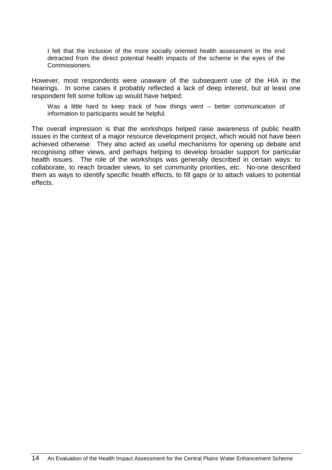I felt that the inclusion of the more socially oriented health assessment in the end detracted from the direct potential health impacts of the scheme in the eyes of the Commissioners.

However, most respondents were unaware of the subsequent use of the HIA in the hearings. In some cases it probably reflected a lack of deep interest, but at least one respondent felt some follow up would have helped:

Was a little hard to keep track of how things went – better communication of information to participants would be helpful.

The overall impression is that the workshops helped raise awareness of public health issues in the context of a major resource development project, which would not have been achieved otherwise. They also acted as useful mechanisms for opening up debate and recognising other views, and perhaps helping to develop broader support for particular health issues. The role of the workshops was generally described in certain ways: to collaborate, to reach broader views, to set community priorities, etc. No-one described them as ways to identify specific health effects, to fill gaps or to attach values to potential effects.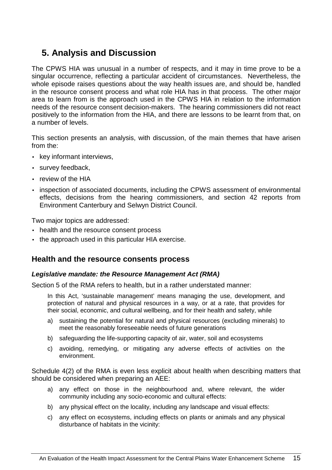# **5. Analysis and Discussion**

The CPWS HIA was unusual in a number of respects, and it may in time prove to be a singular occurrence, reflecting a particular accident of circumstances. Nevertheless, the whole episode raises questions about the way health issues are, and should be, handled in the resource consent process and what role HIA has in that process. The other major area to learn from is the approach used in the CPWS HIA in relation to the information needs of the resource consent decision-makers. The hearing commissioners did not react positively to the information from the HIA, and there are lessons to be learnt from that, on a number of levels.

This section presents an analysis, with discussion, of the main themes that have arisen from the:

- key informant interviews,
- survey feedback,
- review of the HIA
- inspection of associated documents, including the CPWS assessment of environmental effects, decisions from the hearing commissioners, and section 42 reports from Environment Canterbury and Selwyn District Council.

Two major topics are addressed:

- health and the resource consent process
- the approach used in this particular HIA exercise.

### **Health and the resource consents process**

#### **Legislative mandate: the Resource Management Act (RMA)**

Section 5 of the RMA refers to health, but in a rather understated manner:

In this Act, 'sustainable management' means managing the use, development, and protection of natural and physical resources in a way, or at a rate, that provides for their social, economic, and cultural wellbeing, and for their health and safety, while

- a) sustaining the potential for natural and physical resources (excluding minerals) to meet the reasonably foreseeable needs of future generations
- b) safeguarding the life-supporting capacity of air, water, soil and ecosystems
- c) avoiding, remedying, or mitigating any adverse effects of activities on the environment.

Schedule 4(2) of the RMA is even less explicit about health when describing matters that should be considered when preparing an AEE:

- a) any effect on those in the neighbourhood and, where relevant, the wider community including any socio-economic and cultural effects:
- b) any physical effect on the locality, including any landscape and visual effects:
- c) any effect on ecosystems, including effects on plants or animals and any physical disturbance of habitats in the vicinity: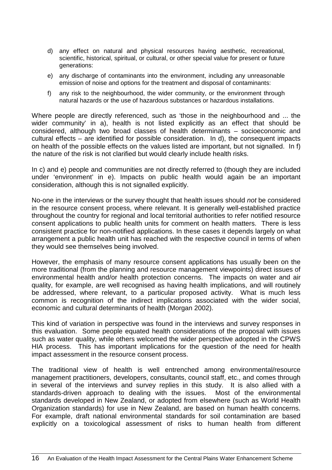- d) any effect on natural and physical resources having aesthetic, recreational, scientific, historical, spiritual, or cultural, or other special value for present or future generations:
- e) any discharge of contaminants into the environment, including any unreasonable emission of noise and options for the treatment and disposal of contaminants:
- f) any risk to the neighbourhood, the wider community, or the environment through natural hazards or the use of hazardous substances or hazardous installations.

Where people are directly referenced, such as 'those in the neighbourhood and ... the wider community' in a), health is not listed explicitly as an effect that should be considered, although two broad classes of health determinants – socioeconomic and cultural effects – are identified for possible consideration. In d), the consequent impacts on health of the possible effects on the values listed are important, but not signalled. In f) the nature of the risk is not clarified but would clearly include health risks.

In c) and e) people and communities are not directly referred to (though they are included under 'environment' in e). Impacts on public health would again be an important consideration, although this is not signalled explicitly.

No-one in the interviews or the survey thought that health issues should not be considered in the resource consent process, where relevant. It is generally well-established practice throughout the country for regional and local territorial authorities to refer notified resource consent applications to public health units for comment on health matters. There is less consistent practice for non-notified applications. In these cases it depends largely on what arrangement a public health unit has reached with the respective council in terms of when they would see themselves being involved.

However, the emphasis of many resource consent applications has usually been on the more traditional (from the planning and resource management viewpoints) direct issues of environmental health and/or health protection concerns. The impacts on water and air quality, for example, are well recognised as having health implications, and will routinely be addressed, where relevant, to a particular proposed activity. What is much less common is recognition of the indirect implications associated with the wider social, economic and cultural determinants of health (Morgan 2002).

This kind of variation in perspective was found in the interviews and survey responses in this evaluation. Some people equated health considerations of the proposal with issues such as water quality, while others welcomed the wider perspective adopted in the CPWS HIA process. This has important implications for the question of the need for health impact assessment in the resource consent process.

The traditional view of health is well entrenched among environmental/resource management practitioners, developers, consultants, council staff, etc., and comes through in several of the interviews and survey replies in this study. It is also allied with a standards-driven approach to dealing with the issues. Most of the environmental standards developed in New Zealand, or adopted from elsewhere (such as World Health Organization standards) for use in New Zealand, are based on human health concerns. For example, draft national environmental standards for soil contamination are based explicitly on a toxicological assessment of risks to human health from different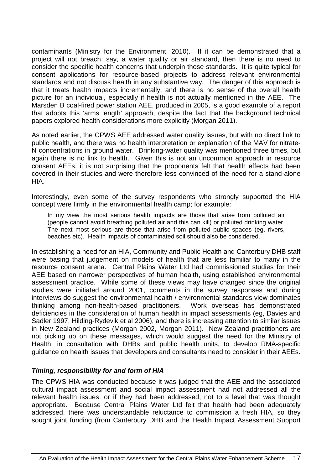contaminants (Ministry for the Environment, 2010). If it can be demonstrated that a project will not breach, say, a water quality or air standard, then there is no need to consider the specific health concerns that underpin those standards. It is quite typical for consent applications for resource-based projects to address relevant environmental standards and not discuss health in any substantive way. The danger of this approach is that it treats health impacts incrementally, and there is no sense of the overall health picture for an individual, especially if health is not actually mentioned in the AEE. The Marsden B coal-fired power station AEE, produced in 2005, is a good example of a report that adopts this 'arms length' approach, despite the fact that the background technical papers explored health considerations more explicitly (Morgan 2011).

As noted earlier, the CPWS AEE addressed water quality issues, but with no direct link to public health, and there was no health interpretation or explanation of the MAV for nitrate-N concentrations in ground water. Drinking-water quality was mentioned three times, but again there is no link to health. Given this is not an uncommon approach in resource consent AEEs, it is not surprising that the proponents felt that health effects had been covered in their studies and were therefore less convinced of the need for a stand-alone HIA.

Interestingly, even some of the survey respondents who strongly supported the HIA concept were firmly in the environmental health camp; for example:

In my view the most serious health impacts are those that arise from polluted air (people cannot avoid breathing polluted air and this can kill) or polluted drinking water. The next most serious are those that arise from polluted public spaces (eg, rivers, beaches etc). Health impacts of contaminated soil should also be considered.

In establishing a need for an HIA, Community and Public Health and Canterbury DHB staff were basing that judgement on models of health that are less familiar to many in the resource consent arena. Central Plains Water Ltd had commissioned studies for their AEE based on narrower perspectives of human health, using established environmental assessment practice. While some of these views may have changed since the original studies were initiated around 2001, comments in the survey responses and during interviews do suggest the environmental health / environmental standards view dominates thinking among non-health-based practitioners. Work overseas has demonstrated deficiencies in the consideration of human health in impact assessments (eg, Davies and Sadler 1997; Hilding-Rydevik et al 2006), and there is increasing attention to similar issues in New Zealand practices (Morgan 2002, Morgan 2011). New Zealand practitioners are not picking up on these messages, which would suggest the need for the Ministry of Health, in consultation with DHBs and public health units, to develop RMA-specific guidance on health issues that developers and consultants need to consider in their AEEs.

#### **Timing, responsibility for and form of HIA**

The CPWS HIA was conducted because it was judged that the AEE and the associated cultural impact assessment and social impact assessment had not addressed all the relevant health issues, or if they had been addressed, not to a level that was thought appropriate. Because Central Plains Water Ltd felt that health had been adequately addressed, there was understandable reluctance to commission a fresh HIA, so they sought joint funding (from Canterbury DHB and the Health Impact Assessment Support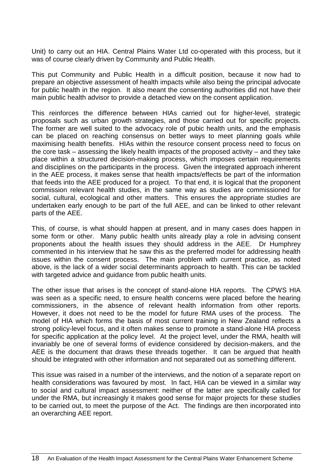Unit) to carry out an HIA. Central Plains Water Ltd co-operated with this process, but it was of course clearly driven by Community and Public Health.

This put Community and Public Health in a difficult position, because it now had to prepare an objective assessment of health impacts while also being the principal advocate for public health in the region. It also meant the consenting authorities did not have their main public health advisor to provide a detached view on the consent application.

This reinforces the difference between HIAs carried out for higher-level, strategic proposals such as urban growth strategies, and those carried out for specific projects. The former are well suited to the advocacy role of pubic health units, and the emphasis can be placed on reaching consensus on better ways to meet planning goals while maximising health benefits. HIAs within the resource consent process need to focus on the core task – assessing the likely health impacts of the proposed activity – and they take place within a structured decision-making process, which imposes certain requirements and disciplines on the participants in the process. Given the integrated approach inherent in the AEE process, it makes sense that health impacts/effects be part of the information that feeds into the AEE produced for a project. To that end, it is logical that the proponent commission relevant health studies, in the same way as studies are commissioned for social, cultural, ecological and other matters. This ensures the appropriate studies are undertaken early enough to be part of the full AEE, and can be linked to other relevant parts of the AEE.

This, of course, is what should happen at present, and in many cases does happen in some form or other. Many public health units already play a role in advising consent proponents about the health issues they should address in the AEE. Dr Humphrey commented in his interview that he saw this as the preferred model for addressing health issues within the consent process. The main problem with current practice, as noted above, is the lack of a wider social determinants approach to health. This can be tackled with targeted advice and guidance from public health units.

The other issue that arises is the concept of stand-alone HIA reports. The CPWS HIA was seen as a specific need, to ensure health concerns were placed before the hearing commissioners, in the absence of relevant health information from other reports. However, it does not need to be the model for future RMA uses of the process. The model of HIA which forms the basis of most current training in New Zealand reflects a strong policy-level focus, and it often makes sense to promote a stand-alone HIA process for specific application at the policy level. At the project level, under the RMA, health will invariably be one of several forms of evidence considered by decision-makers, and the AEE is the document that draws these threads together. It can be argued that health should be integrated with other information and not separated out as something different.

This issue was raised in a number of the interviews, and the notion of a separate report on health considerations was favoured by most. In fact, HIA can be viewed in a similar way to social and cultural impact assessment: neither of the latter are specifically called for under the RMA, but increasingly it makes good sense for major projects for these studies to be carried out, to meet the purpose of the Act. The findings are then incorporated into an overarching AEE report.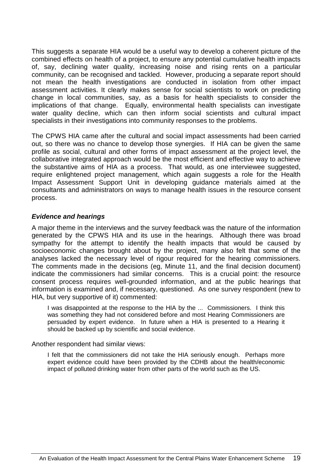This suggests a separate HIA would be a useful way to develop a coherent picture of the combined effects on health of a project, to ensure any potential cumulative health impacts of, say, declining water quality, increasing noise and rising rents on a particular community, can be recognised and tackled. However, producing a separate report should not mean the health investigations are conducted in isolation from other impact assessment activities. It clearly makes sense for social scientists to work on predicting change in local communities, say, as a basis for health specialists to consider the implications of that change. Equally, environmental health specialists can investigate water quality decline, which can then inform social scientists and cultural impact specialists in their investigations into community responses to the problems.

The CPWS HIA came after the cultural and social impact assessments had been carried out, so there was no chance to develop those synergies. If HIA can be given the same profile as social, cultural and other forms of impact assessment at the project level, the collaborative integrated approach would be the most efficient and effective way to achieve the substantive aims of HIA as a process. That would, as one interviewee suggested, require enlightened project management, which again suggests a role for the Health Impact Assessment Support Unit in developing guidance materials aimed at the consultants and administrators on ways to manage health issues in the resource consent process.

### **Evidence and hearings**

A major theme in the interviews and the survey feedback was the nature of the information generated by the CPWS HIA and its use in the hearings. Although there was broad sympathy for the attempt to identify the health impacts that would be caused by socioeconomic changes brought about by the project, many also felt that some of the analyses lacked the necessary level of rigour required for the hearing commissioners. The comments made in the decisions (eg, Minute 11, and the final decision document) indicate the commissioners had similar concerns. This is a crucial point: the resource consent process requires well-grounded information, and at the public hearings that information is examined and, if necessary, questioned. As one survey respondent (new to HIA, but very supportive of it) commented:

I was disappointed at the response to the HIA by the ... Commissioners. I think this was something they had not considered before and most Hearing Commissioners are persuaded by expert evidence. In future when a HIA is presented to a Hearing it should be backed up by scientific and social evidence.

Another respondent had similar views:

I felt that the commissioners did not take the HIA seriously enough. Perhaps more expert evidence could have been provided by the CDHB about the health/economic impact of polluted drinking water from other parts of the world such as the US.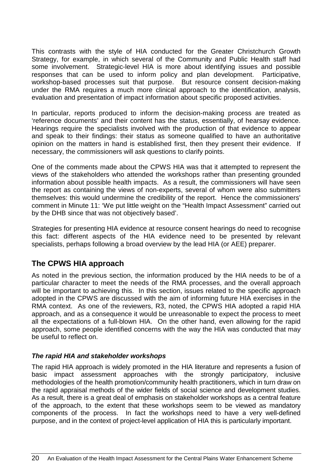This contrasts with the style of HIA conducted for the Greater Christchurch Growth Strategy, for example, in which several of the Community and Public Health staff had some involvement. Strategic-level HIA is more about identifying issues and possible responses that can be used to inform policy and plan development. Participative, workshop-based processes suit that purpose. But resource consent decision-making under the RMA requires a much more clinical approach to the identification, analysis, evaluation and presentation of impact information about specific proposed activities.

In particular, reports produced to inform the decision-making process are treated as 'reference documents' and their content has the status, essentially, of hearsay evidence. Hearings require the specialists involved with the production of that evidence to appear and speak to their findings: their status as someone qualified to have an authoritative opinion on the matters in hand is established first, then they present their evidence. If necessary, the commissioners will ask questions to clarify points.

One of the comments made about the CPWS HIA was that it attempted to represent the views of the stakeholders who attended the workshops rather than presenting grounded information about possible health impacts. As a result, the commissioners will have seen the report as containing the views of non-experts, several of whom were also submitters themselves: this would undermine the credibility of the report. Hence the commissioners' comment in Minute 11: 'We put little weight on the "Health Impact Assessment" carried out by the DHB since that was not objectively based'.

Strategies for presenting HIA evidence at resource consent hearings do need to recognise this fact: different aspects of the HIA evidence need to be presented by relevant specialists, perhaps following a broad overview by the lead HIA (or AEE) preparer.

# **The CPWS HIA approach**

As noted in the previous section, the information produced by the HIA needs to be of a particular character to meet the needs of the RMA processes, and the overall approach will be important to achieving this. In this section, issues related to the specific approach adopted in the CPWS are discussed with the aim of informing future HIA exercises in the RMA context. As one of the reviewers, R3, noted, the CPWS HIA adopted a rapid HIA approach, and as a consequence it would be unreasonable to expect the process to meet all the expectations of a full-blown HIA. On the other hand, even allowing for the rapid approach, some people identified concerns with the way the HIA was conducted that may be useful to reflect on.

### **The rapid HIA and stakeholder workshops**

The rapid HIA approach is widely promoted in the HIA literature and represents a fusion of basic impact assessment approaches with the strongly participatory, inclusive methodologies of the health promotion/community health practitioners, which in turn draw on the rapid appraisal methods of the wider fields of social science and development studies. As a result, there is a great deal of emphasis on stakeholder workshops as a central feature of the approach, to the extent that these workshops seem to be viewed as mandatory components of the process. In fact the workshops need to have a very well-defined purpose, and in the context of project-level application of HIA this is particularly important.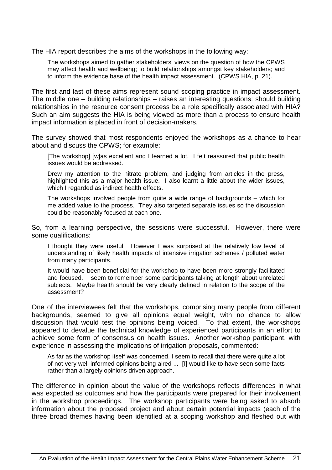The HIA report describes the aims of the workshops in the following way:

The workshops aimed to gather stakeholders' views on the question of how the CPWS may affect health and wellbeing; to build relationships amongst key stakeholders; and to inform the evidence base of the health impact assessment. (CPWS HIA, p. 21).

The first and last of these aims represent sound scoping practice in impact assessment. The middle one – building relationships – raises an interesting questions: should building relationships in the resource consent process be a role specifically associated with HIA? Such an aim suggests the HIA is being viewed as more than a process to ensure health impact information is placed in front of decision-makers.

The survey showed that most respondents enjoyed the workshops as a chance to hear about and discuss the CPWS; for example:

[The workshop] [w]as excellent and I learned a lot. I felt reassured that public health issues would be addressed.

Drew my attention to the nitrate problem, and judging from articles in the press, highlighted this as a major health issue. I also learnt a little about the wider issues, which I regarded as indirect health effects.

The workshops involved people from quite a wide range of backgrounds – which for me added value to the process. They also targeted separate issues so the discussion could be reasonably focused at each one.

So, from a learning perspective, the sessions were successful. However, there were some qualifications:

I thought they were useful. However I was surprised at the relatively low level of understanding of likely health impacts of intensive irrigation schemes / polluted water from many participants.

It would have been beneficial for the workshop to have been more strongly facilitated and focused. I seem to remember some participants talking at length about unrelated subjects. Maybe health should be very clearly defined in relation to the scope of the assessment?

One of the interviewees felt that the workshops, comprising many people from different backgrounds, seemed to give all opinions equal weight, with no chance to allow discussion that would test the opinions being voiced. To that extent, the workshops appeared to devalue the technical knowledge of experienced participants in an effort to achieve some form of consensus on health issues. Another workshop participant, with experience in assessing the implications of irrigation proposals, commented:

As far as the workshop itself was concerned, I seem to recall that there were quite a lot of not very well informed opinions being aired ... [I] would like to have seen some facts rather than a largely opinions driven approach.

The difference in opinion about the value of the workshops reflects differences in what was expected as outcomes and how the participants were prepared for their involvement in the workshop proceedings. The workshop participants were being asked to absorb information about the proposed project and about certain potential impacts (each of the three broad themes having been identified at a scoping workshop and fleshed out with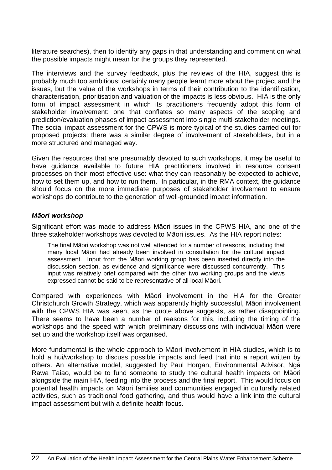literature searches), then to identify any gaps in that understanding and comment on what the possible impacts might mean for the groups they represented.

The interviews and the survey feedback, plus the reviews of the HIA, suggest this is probably much too ambitious: certainly many people learnt more about the project and the issues, but the value of the workshops in terms of their contribution to the identification, characterisation, prioritisation and valuation of the impacts is less obvious. HIA is the only form of impact assessment in which its practitioners frequently adopt this form of stakeholder involvement: one that conflates so many aspects of the scoping and prediction/evaluation phases of impact assessment into single multi-stakeholder meetings. The social impact assessment for the CPWS is more typical of the studies carried out for proposed projects: there was a similar degree of involvement of stakeholders, but in a more structured and managed way.

Given the resources that are presumably devoted to such workshops, it may be useful to have guidance available to future HIA practitioners involved in resource consent processes on their most effective use: what they can reasonably be expected to achieve, how to set them up, and how to run them. In particular, in the RMA context, the guidance should focus on the more immediate purposes of stakeholder involvement to ensure workshops do contribute to the generation of well-grounded impact information.

#### **M***ā***ori workshop**

Significant effort was made to address Māori issues in the CPWS HIA, and one of the three stakeholder workshops was devoted to Māori issues. As the HIA report notes:

The final Māori workshop was not well attended for a number of reasons, including that many local Māori had already been involved in consultation for the cultural impact assessment. Input from the Māori working group has been inserted directly into the discussion section, as evidence and significance were discussed concurrently. This input was relatively brief compared with the other two working groups and the views expressed cannot be said to be representative of all local Māori.

Compared with experiences with Māori involvement in the HIA for the Greater Christchurch Growth Strategy, which was apparently highly successful, Māori involvement with the CPWS HIA was seen, as the quote above suggests, as rather disappointing. There seems to have been a number of reasons for this, including the timing of the workshops and the speed with which preliminary discussions with individual Māori were set up and the workshop itself was organised.

More fundamental is the whole approach to Māori involvement in HIA studies, which is to hold a hui/workshop to discuss possible impacts and feed that into a report written by others. An alternative model, suggested by Paul Horgan, Environmental Advisor, Ngā Rawa Taiao, would be to fund someone to study the cultural health impacts on Māori alongside the main HIA, feeding into the process and the final report. This would focus on potential health impacts on Māori families and communities engaged in culturally related activities, such as traditional food gathering, and thus would have a link into the cultural impact assessment but with a definite health focus.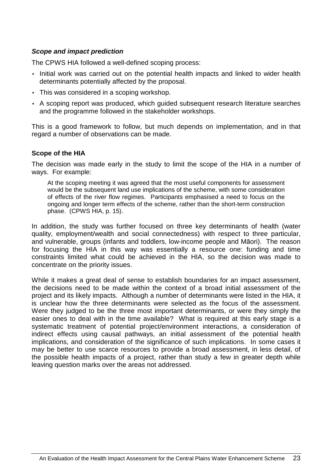### **Scope and impact prediction**

The CPWS HIA followed a well-defined scoping process:

- Initial work was carried out on the potential health impacts and linked to wider health determinants potentially affected by the proposal.
- This was considered in a scoping workshop.
- A scoping report was produced, which guided subsequent research literature searches and the programme followed in the stakeholder workshops.

This is a good framework to follow, but much depends on implementation, and in that regard a number of observations can be made.

#### **Scope of the HIA**

The decision was made early in the study to limit the scope of the HIA in a number of ways. For example:

At the scoping meeting it was agreed that the most useful components for assessment would be the subsequent land use implications of the scheme, with some consideration of effects of the river flow regimes. Participants emphasised a need to focus on the ongoing and longer term effects of the scheme, rather than the short-term construction phase. (CPWS HIA, p. 15).

In addition, the study was further focused on three key determinants of health (water quality, employment/wealth and social connectedness) with respect to three particular, and vulnerable, groups (infants and toddlers, low-income people and Māori). The reason for focusing the HIA in this way was essentially a resource one: funding and time constraints limited what could be achieved in the HIA, so the decision was made to concentrate on the priority issues.

While it makes a great deal of sense to establish boundaries for an impact assessment, the decisions need to be made within the context of a broad initial assessment of the project and its likely impacts. Although a number of determinants were listed in the HIA, it is unclear how the three determinants were selected as the focus of the assessment. Were they judged to be the three most important determinants, or were they simply the easier ones to deal with in the time available? What is required at this early stage is a systematic treatment of potential project/environment interactions, a consideration of indirect effects using causal pathways, an initial assessment of the potential health implications, and consideration of the significance of such implications. In some cases it may be better to use scarce resources to provide a broad assessment, in less detail, of the possible health impacts of a project, rather than study a few in greater depth while leaving question marks over the areas not addressed.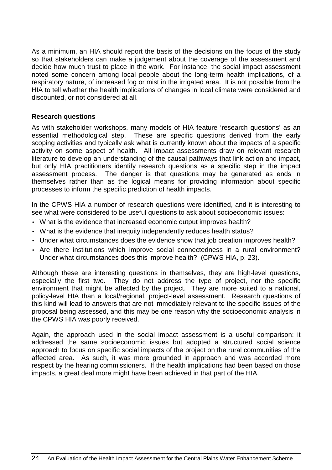As a minimum, an HIA should report the basis of the decisions on the focus of the study so that stakeholders can make a judgement about the coverage of the assessment and decide how much trust to place in the work. For instance, the social impact assessment noted some concern among local people about the long-term health implications, of a respiratory nature, of increased fog or mist in the irrigated area. It is not possible from the HIA to tell whether the health implications of changes in local climate were considered and discounted, or not considered at all.

### **Research questions**

As with stakeholder workshops, many models of HIA feature 'research questions' as an essential methodological step. These are specific questions derived from the early scoping activities and typically ask what is currently known about the impacts of a specific activity on some aspect of health. All impact assessments draw on relevant research literature to develop an understanding of the causal pathways that link action and impact, but only HIA practitioners identify research questions as a specific step in the impact assessment process. The danger is that questions may be generated as ends in themselves rather than as the logical means for providing information about specific processes to inform the specific prediction of health impacts.

In the CPWS HIA a number of research questions were identified, and it is interesting to see what were considered to be useful questions to ask about socioeconomic issues:

- What is the evidence that increased economic output improves health?
- What is the evidence that inequity independently reduces health status?
- Under what circumstances does the evidence show that job creation improves health?
- Are there institutions which improve social connectedness in a rural environment? Under what circumstances does this improve health? (CPWS HIA, p. 23).

Although these are interesting questions in themselves, they are high-level questions, especially the first two. They do not address the type of project, nor the specific environment that might be affected by the project. They are more suited to a national, policy-level HIA than a local/regional, project-level assessment. Research questions of this kind will lead to answers that are not immediately relevant to the specific issues of the proposal being assessed, and this may be one reason why the socioeconomic analysis in the CPWS HIA was poorly received.

Again, the approach used in the social impact assessment is a useful comparison: it addressed the same socioeconomic issues but adopted a structured social science approach to focus on specific social impacts of the project on the rural communities of the affected area. As such, it was more grounded in approach and was accorded more respect by the hearing commissioners. If the health implications had been based on those impacts, a great deal more might have been achieved in that part of the HIA.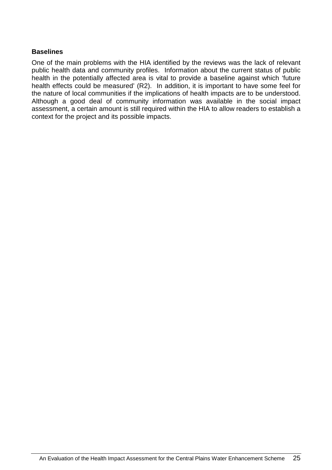### **Baselines**

One of the main problems with the HIA identified by the reviews was the lack of relevant public health data and community profiles. Information about the current status of public health in the potentially affected area is vital to provide a baseline against which 'future health effects could be measured' (R2). In addition, it is important to have some feel for the nature of local communities if the implications of health impacts are to be understood. Although a good deal of community information was available in the social impact assessment, a certain amount is still required within the HIA to allow readers to establish a context for the project and its possible impacts.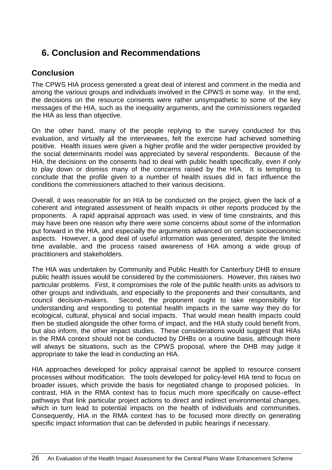# **6. Conclusion and Recommendations**

## **Conclusion**

The CPWS HIA process generated a great deal of interest and comment in the media and among the various groups and individuals involved in the CPWS in some way. In the end, the decisions on the resource consents were rather unsympathetic to some of the key messages of the HIA, such as the inequality arguments, and the commissioners regarded the HIA as less than objective.

On the other hand, many of the people replying to the survey conducted for this evaluation, and virtually all the interviewees, felt the exercise had achieved something positive. Health issues were given a higher profile and the wider perspective provided by the social determinants model was appreciated by several respondents. Because of the HIA, the decisions on the consents had to deal with public health specifically, even if only to play down or dismiss many of the concerns raised by the HIA. It is tempting to conclude that the profile given to a number of health issues did in fact influence the conditions the commissioners attached to their various decisions.

Overall, it was reasonable for an HIA to be conducted on the project, given the lack of a coherent and integrated assessment of health impacts in other reports produced by the proponents. A rapid appraisal approach was used, in view of time constraints, and this may have been one reason why there were some concerns about some of the information put forward in the HIA, and especially the arguments advanced on certain socioeconomic aspects. However, a good deal of useful information was generated, despite the limited time available, and the process raised awareness of HIA among a wide group of practitioners and stakeholders.

The HIA was undertaken by Community and Public Health for Canterbury DHB to ensure public health issues would be considered by the commissioners. However, this raises two particular problems. First, it compromises the role of the public health units as advisors to other groups and individuals, and especially to the proponents and their consultants, and council decision-makers. Second, the proponent ought to take responsibility for understanding and responding to potential health impacts in the same way they do for ecological, cultural, physical and social impacts. That would mean health impacts could then be studied alongside the other forms of impact, and the HIA study could benefit from, but also inform, the other impact studies. These considerations would suggest that HIAs in the RMA context should not be conducted by DHBs on a routine basis, although there will always be situations, such as the CPWS proposal, where the DHB may judge it appropriate to take the lead in conducting an HIA.

HIA approaches developed for policy appraisal cannot be applied to resource consent processes without modification. The tools developed for policy-level HIA tend to focus on broader issues, which provide the basis for negotiated change to proposed policies. In contrast, HIA in the RMA context has to focus much more specifically on cause–effect pathways that link particular project actions to direct and indirect environmental changes, which in turn lead to potential impacts on the health of individuals and communities. Consequently, HIA in the RMA context has to be focused more directly on generating specific impact information that can be defended in public hearings if necessary.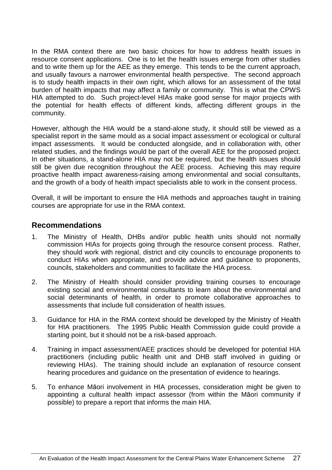In the RMA context there are two basic choices for how to address health issues in resource consent applications. One is to let the health issues emerge from other studies and to write them up for the AEE as they emerge. This tends to be the current approach, and usually favours a narrower environmental health perspective. The second approach is to study health impacts in their own right, which allows for an assessment of the total burden of health impacts that may affect a family or community. This is what the CPWS HIA attempted to do. Such project-level HIAs make good sense for major projects with the potential for health effects of different kinds, affecting different groups in the community.

However, although the HIA would be a stand-alone study, it should still be viewed as a specialist report in the same mould as a social impact assessment or ecological or cultural impact assessments. It would be conducted alongside, and in collaboration with, other related studies, and the findings would be part of the overall AEE for the proposed project. In other situations, a stand-alone HIA may not be required, but the health issues should still be given due recognition throughout the AEE process. Achieving this may require proactive health impact awareness-raising among environmental and social consultants, and the growth of a body of health impact specialists able to work in the consent process.

Overall, it will be important to ensure the HIA methods and approaches taught in training courses are appropriate for use in the RMA context.

### **Recommendations**

- 1. The Ministry of Health, DHBs and/or public health units should not normally commission HIAs for projects going through the resource consent process. Rather, they should work with regional, district and city councils to encourage proponents to conduct HIAs when appropriate, and provide advice and guidance to proponents, councils, stakeholders and communities to facilitate the HIA process.
- 2. The Ministry of Health should consider providing training courses to encourage existing social and environmental consultants to learn about the environmental and social determinants of health, in order to promote collaborative approaches to assessments that include full consideration of health issues.
- 3. Guidance for HIA in the RMA context should be developed by the Ministry of Health for HIA practitioners. The 1995 Public Health Commission guide could provide a starting point, but it should not be a risk-based approach.
- 4. Training in impact assessment/AEE practices should be developed for potential HIA practitioners (including public health unit and DHB staff involved in guiding or reviewing HIAs). The training should include an explanation of resource consent hearing procedures and guidance on the presentation of evidence to hearings.
- 5. To enhance Māori involvement in HIA processes, consideration might be given to appointing a cultural health impact assessor (from within the Māori community if possible) to prepare a report that informs the main HIA.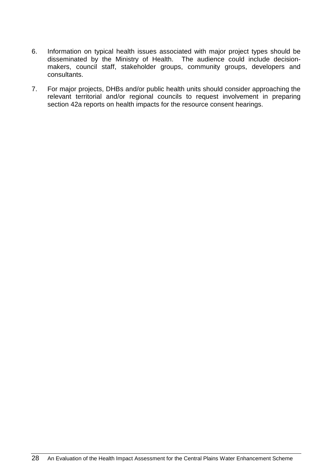- 6. Information on typical health issues associated with major project types should be disseminated by the Ministry of Health. The audience could include decisionmakers, council staff, stakeholder groups, community groups, developers and consultants.
- 7. For major projects, DHBs and/or public health units should consider approaching the relevant territorial and/or regional councils to request involvement in preparing section 42a reports on health impacts for the resource consent hearings.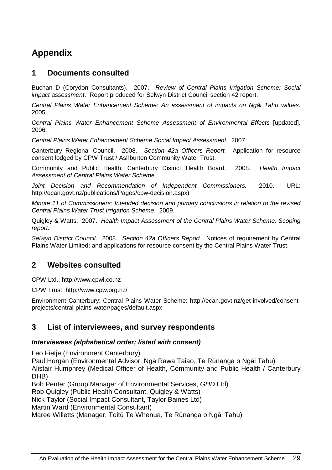# **Appendix**

### **1 Documents consulted**

Buchan D (Corydon Consultants). 2007. Review of Central Plains Irrigation Scheme: Social impact assessment. Report produced for Selwyn District Council section 42 report.

Central Plains Water Enhancement Scheme: An assessment of impacts on Ng*ā*i Tahu values. 2005.

Central Plains Water Enhancement Scheme Assessment of Environmental Effects [updated]. 2006.

Central Plains Water Enhancement Scheme Social Impact Assessment. 2007.

Canterbury Regional Council. 2008. Section 42a Officers Report. Application for resource consent lodged by CPW Trust / Ashburton Community Water Trust.

Community and Public Health, Canterbury District Health Board. 2008. Health Impact Assessment of Central Plains Water Scheme.

Joint Decision and Recommendation of Independent Commissioners. 2010. URL: http://ecan.govt.nz/publications/Pages/cpw-decision.aspx)

Minute 11 of Commissioners: Intended decision and primary conclusions in relation to the revised Central Plains Water Trust Irrigation Scheme. 2009.

Quigley & Watts. 2007. Health Impact Assessment of the Central Plains Water Scheme: Scoping report.

Selwyn District Council. 2008. Section 42a Officers Report. Notices of requirement by Central Plains Water Limited; and applications for resource consent by the Central Plains Water Trust.

## **2 Websites consulted**

CPW Ltd.: http://www.cpwl.co.nz

CPW Trust: http://www.cpw.org.nz/

Environment Canterbury: Central Plains Water Scheme: http://ecan.govt.nz/get-involved/consentprojects/central-plains-water/pages/default.aspx

## **3 List of interviewees, and survey respondents**

#### **Interviewees (alphabetical order; listed with consent)**

Leo Fietje (Environment Canterbury)

Paul Horgan (Environmental Advisor, Ngā Rawa Taiao, Te Rūnanga o Ngāi Tahu) Alistair Humphrey (Medical Officer of Health, Community and Public Health / Canterbury DHB)

Bob Penter (Group Manager of Environmental Services, GHD Ltd)

Rob Quigley (Public Health Consultant, Quigley & Watts)

Nick Taylor (Social Impact Consultant, Taylor Baines Ltd)

Martin Ward (Environmental Consultant)

Maree Willetts (Manager, Toitū Te Whenua, Te Rūnanga o Ngāi Tahu)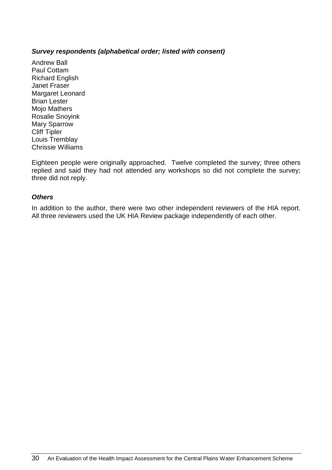#### **Survey respondents (alphabetical order; listed with consent)**

Andrew Ball Paul Cottam Richard English Janet Fraser Margaret Leonard Brian Lester Mojo Mathers Rosalie Snoyink Mary Sparrow Cliff Tipler Louis Tremblay Chrissie Williams

Eighteen people were originally approached. Twelve completed the survey; three others replied and said they had not attended any workshops so did not complete the survey; three did not reply.

#### **Others**

In addition to the author, there were two other independent reviewers of the HIA report. All three reviewers used the UK HIA Review package independently of each other.